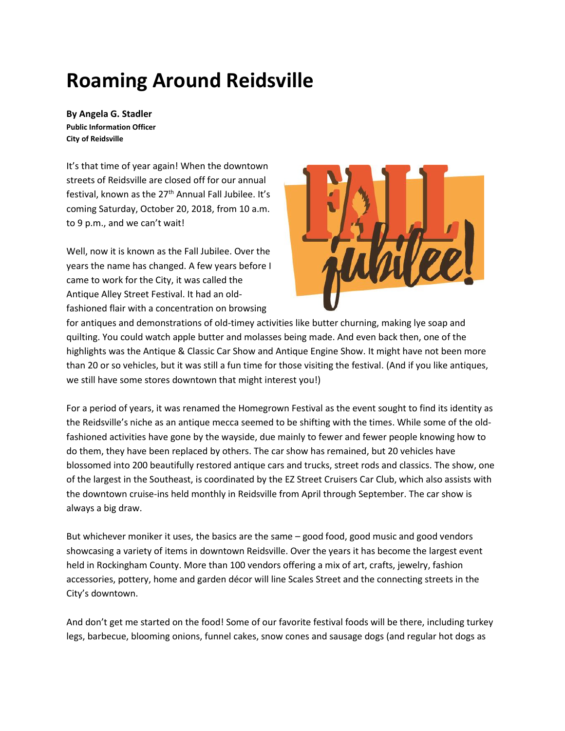# **Roaming Around Reidsville**

**By Angela G. Stadler Public Information Officer City of Reidsville**

It's that time of year again! When the downtown streets of Reidsville are closed off for our annual festival, known as the 27<sup>th</sup> Annual Fall Jubilee. It's coming Saturday, October 20, 2018, from 10 a.m. to 9 p.m., and we can't wait!

Well, now it is known as the Fall Jubilee. Over the years the name has changed. A few years before I came to work for the City, it was called the Antique Alley Street Festival. It had an oldfashioned flair with a concentration on browsing



for antiques and demonstrations of old-timey activities like butter churning, making lye soap and quilting. You could watch apple butter and molasses being made. And even back then, one of the highlights was the Antique & Classic Car Show and Antique Engine Show. It might have not been more than 20 or so vehicles, but it was still a fun time for those visiting the festival. (And if you like antiques, we still have some stores downtown that might interest you!)

For a period of years, it was renamed the Homegrown Festival as the event sought to find its identity as the Reidsville's niche as an antique mecca seemed to be shifting with the times. While some of the oldfashioned activities have gone by the wayside, due mainly to fewer and fewer people knowing how to do them, they have been replaced by others. The car show has remained, but 20 vehicles have blossomed into 200 beautifully restored antique cars and trucks, street rods and classics. The show, one of the largest in the Southeast, is coordinated by the EZ Street Cruisers Car Club, which also assists with the downtown cruise-ins held monthly in Reidsville from April through September. The car show is always a big draw.

But whichever moniker it uses, the basics are the same – good food, good music and good vendors showcasing a variety of items in downtown Reidsville. Over the years it has become the largest event held in Rockingham County. More than 100 vendors offering a mix of art, crafts, jewelry, fashion accessories, pottery, home and garden décor will line Scales Street and the connecting streets in the City's downtown.

And don't get me started on the food! Some of our favorite festival foods will be there, including turkey legs, barbecue, blooming onions, funnel cakes, snow cones and sausage dogs (and regular hot dogs as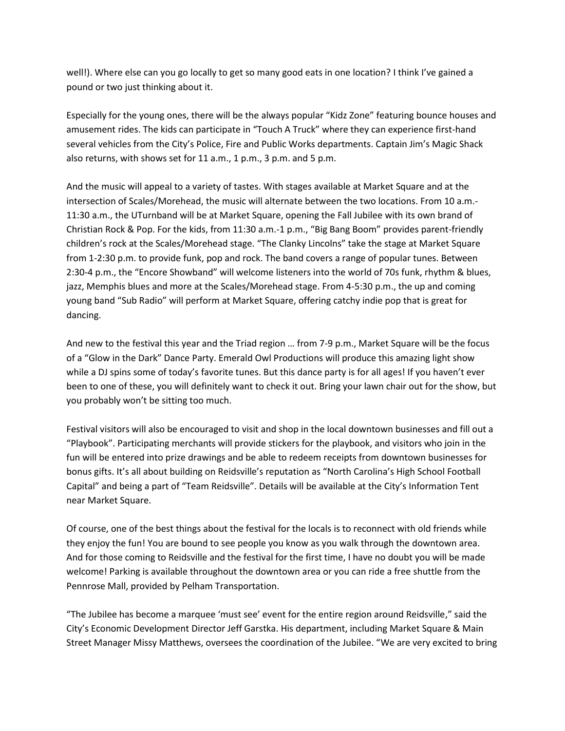well!). Where else can you go locally to get so many good eats in one location? I think I've gained a pound or two just thinking about it.

Especially for the young ones, there will be the always popular "Kidz Zone" featuring bounce houses and amusement rides. The kids can participate in "Touch A Truck" where they can experience first-hand several vehicles from the City's Police, Fire and Public Works departments. Captain Jim's Magic Shack also returns, with shows set for 11 a.m., 1 p.m., 3 p.m. and 5 p.m.

And the music will appeal to a variety of tastes. With stages available at Market Square and at the intersection of Scales/Morehead, the music will alternate between the two locations. From 10 a.m.- 11:30 a.m., the UTurnband will be at Market Square, opening the Fall Jubilee with its own brand of Christian Rock & Pop. For the kids, from 11:30 a.m.-1 p.m., "Big Bang Boom" provides parent-friendly children's rock at the Scales/Morehead stage. "The Clanky Lincolns" take the stage at Market Square from 1-2:30 p.m. to provide funk, pop and rock. The band covers a range of popular tunes. Between 2:30-4 p.m., the "Encore Showband" will welcome listeners into the world of 70s funk, rhythm & blues, jazz, Memphis blues and more at the Scales/Morehead stage. From 4-5:30 p.m., the up and coming young band "Sub Radio" will perform at Market Square, offering catchy indie pop that is great for dancing.

And new to the festival this year and the Triad region … from 7-9 p.m., Market Square will be the focus of a "Glow in the Dark" Dance Party. Emerald Owl Productions will produce this amazing light show while a DJ spins some of today's favorite tunes. But this dance party is for all ages! If you haven't ever been to one of these, you will definitely want to check it out. Bring your lawn chair out for the show, but you probably won't be sitting too much.

Festival visitors will also be encouraged to visit and shop in the local downtown businesses and fill out a "Playbook". Participating merchants will provide stickers for the playbook, and visitors who join in the fun will be entered into prize drawings and be able to redeem receipts from downtown businesses for bonus gifts. It's all about building on Reidsville's reputation as "North Carolina's High School Football Capital" and being a part of "Team Reidsville". Details will be available at the City's Information Tent near Market Square.

Of course, one of the best things about the festival for the locals is to reconnect with old friends while they enjoy the fun! You are bound to see people you know as you walk through the downtown area. And for those coming to Reidsville and the festival for the first time, I have no doubt you will be made welcome! Parking is available throughout the downtown area or you can ride a free shuttle from the Pennrose Mall, provided by Pelham Transportation.

"The Jubilee has become a marquee 'must see' event for the entire region around Reidsville," said the City's Economic Development Director Jeff Garstka. His department, including Market Square & Main Street Manager Missy Matthews, oversees the coordination of the Jubilee. "We are very excited to bring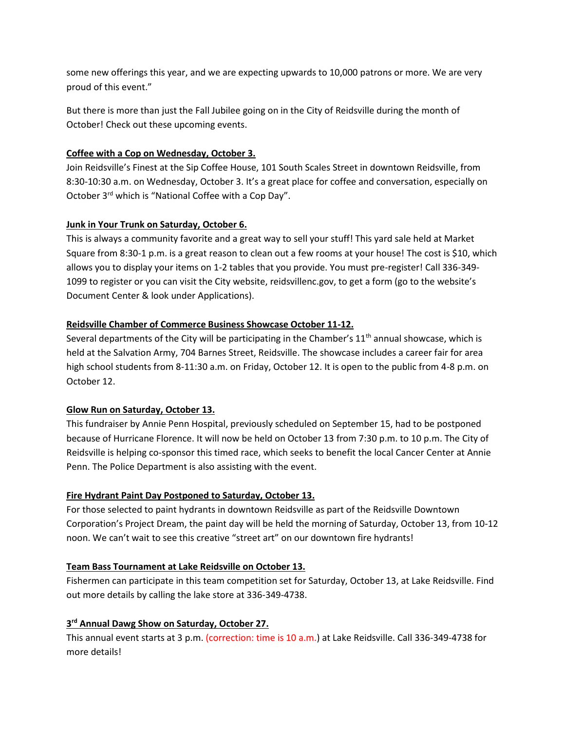some new offerings this year, and we are expecting upwards to 10,000 patrons or more. We are very proud of this event."

But there is more than just the Fall Jubilee going on in the City of Reidsville during the month of October! Check out these upcoming events.

#### **Coffee with a Cop on Wednesday, October 3.**

Join Reidsville's Finest at the Sip Coffee House, 101 South Scales Street in downtown Reidsville, from 8:30-10:30 a.m. on Wednesday, October 3. It's a great place for coffee and conversation, especially on October 3rd which is "National Coffee with a Cop Day".

#### **Junk in Your Trunk on Saturday, October 6.**

This is always a community favorite and a great way to sell your stuff! This yard sale held at Market Square from 8:30-1 p.m. is a great reason to clean out a few rooms at your house! The cost is \$10, which allows you to display your items on 1-2 tables that you provide. You must pre-register! Call 336-349- 1099 to register or you can visit the City website, reidsvillenc.gov, to get a form (go to the website's Document Center & look under Applications).

#### **Reidsville Chamber of Commerce Business Showcase October 11-12.**

Several departments of the City will be participating in the Chamber's  $11<sup>th</sup>$  annual showcase, which is held at the Salvation Army, 704 Barnes Street, Reidsville. The showcase includes a career fair for area high school students from 8-11:30 a.m. on Friday, October 12. It is open to the public from 4-8 p.m. on October 12.

# **Glow Run on Saturday, October 13.**

This fundraiser by Annie Penn Hospital, previously scheduled on September 15, had to be postponed because of Hurricane Florence. It will now be held on October 13 from 7:30 p.m. to 10 p.m. The City of Reidsville is helping co-sponsor this timed race, which seeks to benefit the local Cancer Center at Annie Penn. The Police Department is also assisting with the event.

# **Fire Hydrant Paint Day Postponed to Saturday, October 13.**

For those selected to paint hydrants in downtown Reidsville as part of the Reidsville Downtown Corporation's Project Dream, the paint day will be held the morning of Saturday, October 13, from 10-12 noon. We can't wait to see this creative "street art" on our downtown fire hydrants!

#### **Team Bass Tournament at Lake Reidsville on October 13.**

Fishermen can participate in this team competition set for Saturday, October 13, at Lake Reidsville. Find out more details by calling the lake store at 336-349-4738.

# **3 rd Annual Dawg Show on Saturday, October 27.**

This annual event starts at 3 p.m. (correction: time is 10 a.m.) at Lake Reidsville. Call 336-349-4738 for more details!